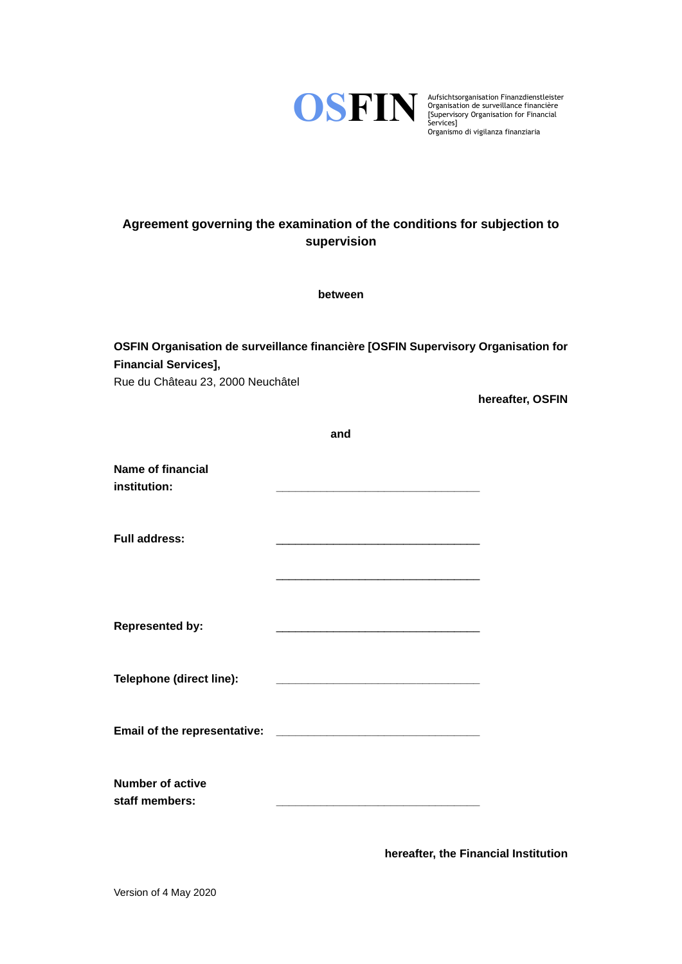

Aufsichtsorganisation Finanzdienstleister Organisation de surveillance financière [Supervisory Organisation for Financial Organismo di vigilanza finanziaria

# **Agreement governing the examination of the conditions for subjection to supervision**

**between**

| OSFIN Organisation de surveillance financière [OSFIN Supervisory Organisation for<br><b>Financial Services],</b><br>Rue du Château 23, 2000 Neuchâtel |                                                                                                                      |                  |  |
|-------------------------------------------------------------------------------------------------------------------------------------------------------|----------------------------------------------------------------------------------------------------------------------|------------------|--|
|                                                                                                                                                       |                                                                                                                      | hereafter, OSFIN |  |
|                                                                                                                                                       | and                                                                                                                  |                  |  |
| <b>Name of financial</b><br>institution:                                                                                                              | <u> 1980 - Johann John Stone, mars eta bat eta bat eta bat eta bat eta bat eta bat eta bat eta bat eta bat eta b</u> |                  |  |
| <b>Full address:</b>                                                                                                                                  |                                                                                                                      |                  |  |
| <b>Represented by:</b>                                                                                                                                |                                                                                                                      |                  |  |
| Telephone (direct line):                                                                                                                              |                                                                                                                      |                  |  |
| Email of the representative:                                                                                                                          |                                                                                                                      |                  |  |
| <b>Number of active</b><br>staff members:                                                                                                             |                                                                                                                      |                  |  |

**hereafter, the Financial Institution**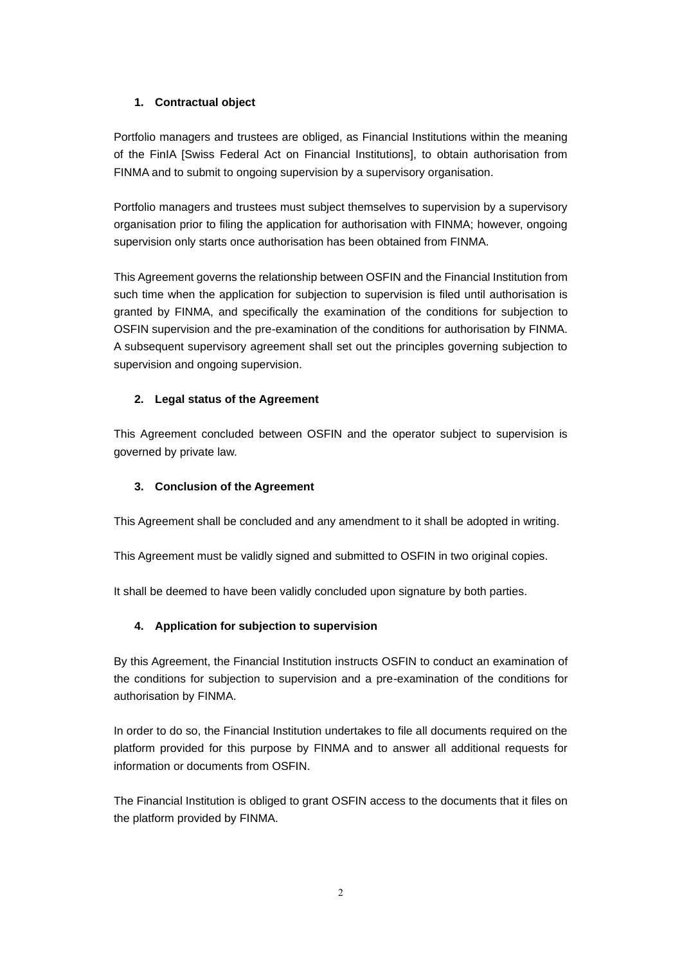# **1. Contractual object**

Portfolio managers and trustees are obliged, as Financial Institutions within the meaning of the FinIA [Swiss Federal Act on Financial Institutions], to obtain authorisation from FINMA and to submit to ongoing supervision by a supervisory organisation.

Portfolio managers and trustees must subject themselves to supervision by a supervisory organisation prior to filing the application for authorisation with FINMA; however, ongoing supervision only starts once authorisation has been obtained from FINMA.

This Agreement governs the relationship between OSFIN and the Financial Institution from such time when the application for subjection to supervision is filed until authorisation is granted by FINMA, and specifically the examination of the conditions for subjection to OSFIN supervision and the pre-examination of the conditions for authorisation by FINMA. A subsequent supervisory agreement shall set out the principles governing subjection to supervision and ongoing supervision.

## **2. Legal status of the Agreement**

This Agreement concluded between OSFIN and the operator subject to supervision is governed by private law.

#### **3. Conclusion of the Agreement**

This Agreement shall be concluded and any amendment to it shall be adopted in writing.

This Agreement must be validly signed and submitted to OSFIN in two original copies.

It shall be deemed to have been validly concluded upon signature by both parties.

# **4. Application for subjection to supervision**

By this Agreement, the Financial Institution instructs OSFIN to conduct an examination of the conditions for subjection to supervision and a pre-examination of the conditions for authorisation by FINMA.

In order to do so, the Financial Institution undertakes to file all documents required on the platform provided for this purpose by FINMA and to answer all additional requests for information or documents from OSFIN.

The Financial Institution is obliged to grant OSFIN access to the documents that it files on the platform provided by FINMA.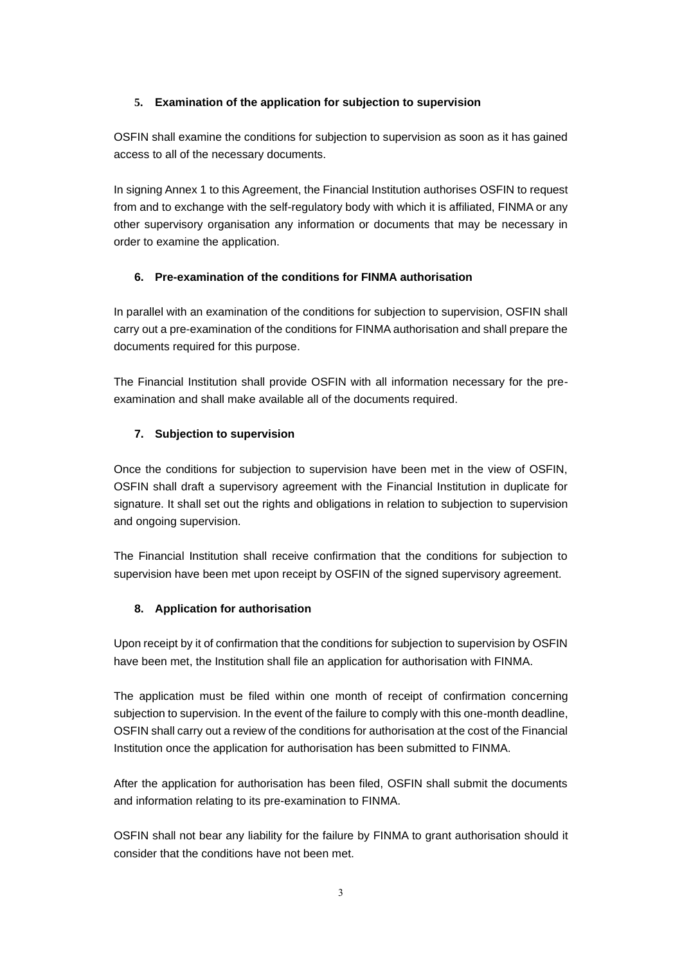## **5. Examination of the application for subjection to supervision**

OSFIN shall examine the conditions for subjection to supervision as soon as it has gained access to all of the necessary documents.

In signing Annex 1 to this Agreement, the Financial Institution authorises OSFIN to request from and to exchange with the self-regulatory body with which it is affiliated, FINMA or any other supervisory organisation any information or documents that may be necessary in order to examine the application.

# **6. Pre-examination of the conditions for FINMA authorisation**

In parallel with an examination of the conditions for subjection to supervision, OSFIN shall carry out a pre-examination of the conditions for FINMA authorisation and shall prepare the documents required for this purpose.

The Financial Institution shall provide OSFIN with all information necessary for the preexamination and shall make available all of the documents required.

# **7. Subjection to supervision**

Once the conditions for subjection to supervision have been met in the view of OSFIN, OSFIN shall draft a supervisory agreement with the Financial Institution in duplicate for signature. It shall set out the rights and obligations in relation to subjection to supervision and ongoing supervision.

The Financial Institution shall receive confirmation that the conditions for subjection to supervision have been met upon receipt by OSFIN of the signed supervisory agreement.

#### **8. Application for authorisation**

Upon receipt by it of confirmation that the conditions for subjection to supervision by OSFIN have been met, the Institution shall file an application for authorisation with FINMA.

The application must be filed within one month of receipt of confirmation concerning subjection to supervision. In the event of the failure to comply with this one-month deadline, OSFIN shall carry out a review of the conditions for authorisation at the cost of the Financial Institution once the application for authorisation has been submitted to FINMA.

After the application for authorisation has been filed, OSFIN shall submit the documents and information relating to its pre-examination to FINMA.

OSFIN shall not bear any liability for the failure by FINMA to grant authorisation should it consider that the conditions have not been met.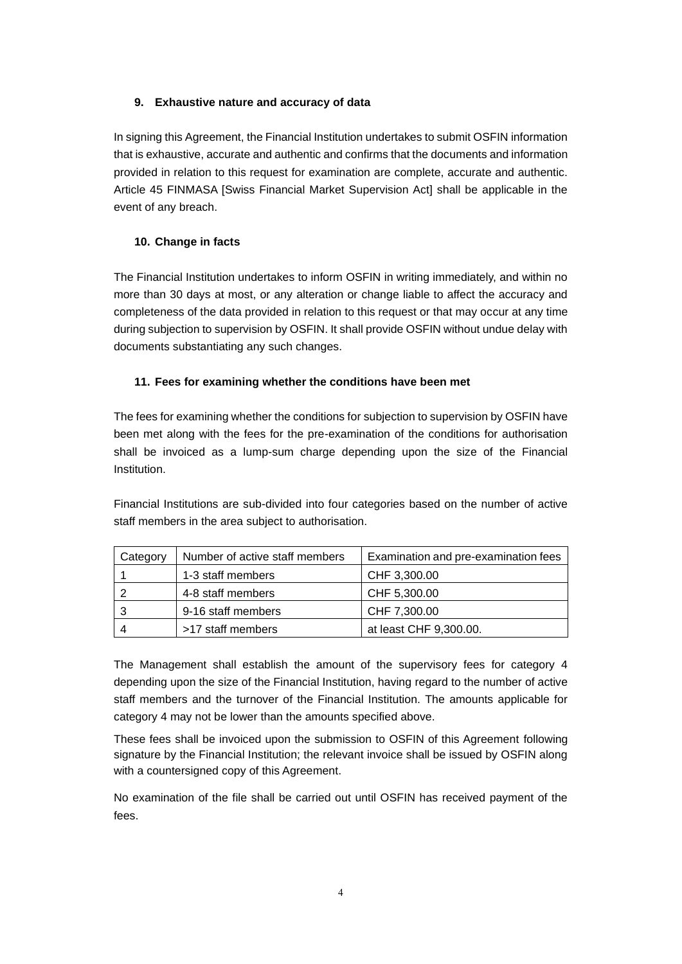## **9. Exhaustive nature and accuracy of data**

In signing this Agreement, the Financial Institution undertakes to submit OSFIN information that is exhaustive, accurate and authentic and confirms that the documents and information provided in relation to this request for examination are complete, accurate and authentic. Article 45 FINMASA [Swiss Financial Market Supervision Act] shall be applicable in the event of any breach.

# **10. Change in facts**

The Financial Institution undertakes to inform OSFIN in writing immediately, and within no more than 30 days at most, or any alteration or change liable to affect the accuracy and completeness of the data provided in relation to this request or that may occur at any time during subjection to supervision by OSFIN. It shall provide OSFIN without undue delay with documents substantiating any such changes.

## **11. Fees for examining whether the conditions have been met**

The fees for examining whether the conditions for subjection to supervision by OSFIN have been met along with the fees for the pre-examination of the conditions for authorisation shall be invoiced as a lump-sum charge depending upon the size of the Financial Institution.

Financial Institutions are sub-divided into four categories based on the number of active staff members in the area subject to authorisation.

| Category | Number of active staff members | Examination and pre-examination fees |
|----------|--------------------------------|--------------------------------------|
|          | 1-3 staff members              | CHF 3,300.00                         |
|          | 4-8 staff members              | CHF 5,300.00                         |
| 3        | 9-16 staff members             | CHF 7,300.00                         |
|          | >17 staff members              | at least CHF 9,300.00.               |

The Management shall establish the amount of the supervisory fees for category 4 depending upon the size of the Financial Institution, having regard to the number of active staff members and the turnover of the Financial Institution. The amounts applicable for category 4 may not be lower than the amounts specified above.

These fees shall be invoiced upon the submission to OSFIN of this Agreement following signature by the Financial Institution; the relevant invoice shall be issued by OSFIN along with a countersigned copy of this Agreement.

No examination of the file shall be carried out until OSFIN has received payment of the fees.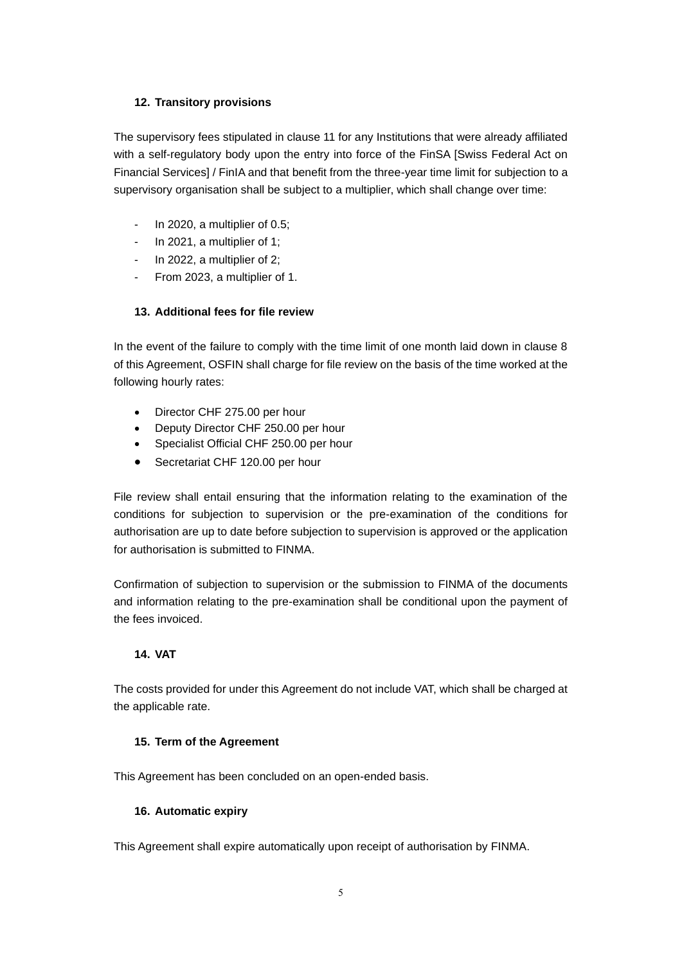## **12. Transitory provisions**

The supervisory fees stipulated in clause 11 for any Institutions that were already affiliated with a self-regulatory body upon the entry into force of the FinSA [Swiss Federal Act on Financial Services] / FinIA and that benefit from the three-year time limit for subjection to a supervisory organisation shall be subject to a multiplier, which shall change over time:

- In 2020, a multiplier of 0.5;
- In 2021, a multiplier of 1;
- In 2022, a multiplier of 2;
- From 2023, a multiplier of 1.

# **13. Additional fees for file review**

In the event of the failure to comply with the time limit of one month laid down in clause 8 of this Agreement, OSFIN shall charge for file review on the basis of the time worked at the following hourly rates:

- Director CHF 275.00 per hour
- Deputy Director CHF 250.00 per hour
- Specialist Official CHF 250.00 per hour
- Secretariat CHF 120.00 per hour

File review shall entail ensuring that the information relating to the examination of the conditions for subjection to supervision or the pre-examination of the conditions for authorisation are up to date before subjection to supervision is approved or the application for authorisation is submitted to FINMA.

Confirmation of subjection to supervision or the submission to FINMA of the documents and information relating to the pre-examination shall be conditional upon the payment of the fees invoiced.

# **14. VAT**

The costs provided for under this Agreement do not include VAT, which shall be charged at the applicable rate.

# **15. Term of the Agreement**

This Agreement has been concluded on an open-ended basis.

# **16. Automatic expiry**

This Agreement shall expire automatically upon receipt of authorisation by FINMA.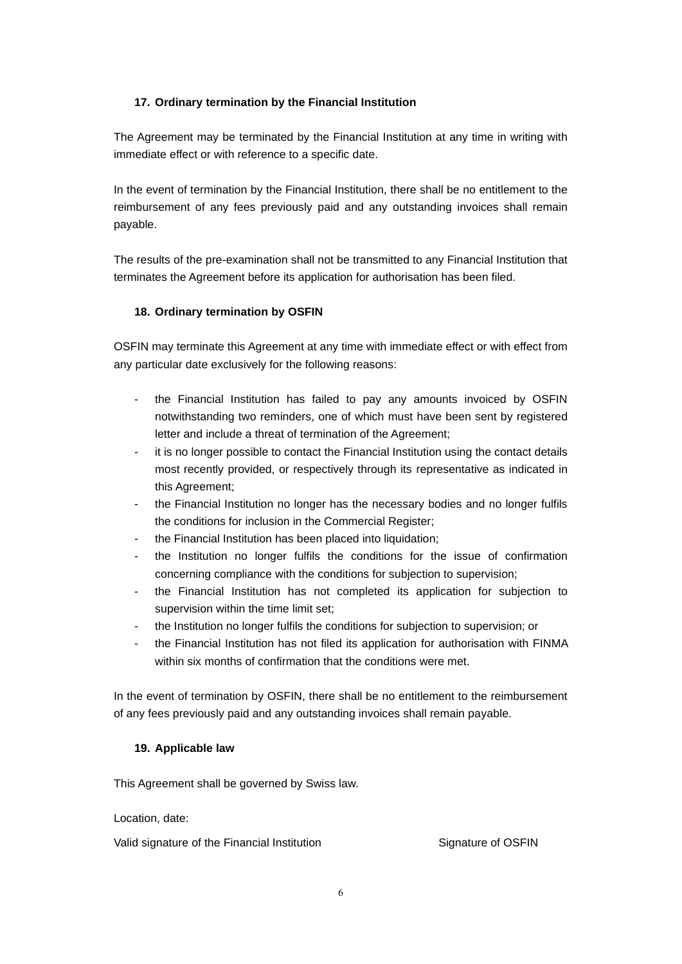## **17. Ordinary termination by the Financial Institution**

The Agreement may be terminated by the Financial Institution at any time in writing with immediate effect or with reference to a specific date.

In the event of termination by the Financial Institution, there shall be no entitlement to the reimbursement of any fees previously paid and any outstanding invoices shall remain payable.

The results of the pre-examination shall not be transmitted to any Financial Institution that terminates the Agreement before its application for authorisation has been filed.

## **18. Ordinary termination by OSFIN**

OSFIN may terminate this Agreement at any time with immediate effect or with effect from any particular date exclusively for the following reasons:

- the Financial Institution has failed to pay any amounts invoiced by OSFIN notwithstanding two reminders, one of which must have been sent by registered letter and include a threat of termination of the Agreement;
- it is no longer possible to contact the Financial Institution using the contact details most recently provided, or respectively through its representative as indicated in this Agreement;
- the Financial Institution no longer has the necessary bodies and no longer fulfils the conditions for inclusion in the Commercial Register;
- the Financial Institution has been placed into liquidation;
- the Institution no longer fulfils the conditions for the issue of confirmation concerning compliance with the conditions for subjection to supervision;
- the Financial Institution has not completed its application for subjection to supervision within the time limit set;
- the Institution no longer fulfils the conditions for subjection to supervision; or
- the Financial Institution has not filed its application for authorisation with FINMA within six months of confirmation that the conditions were met.

In the event of termination by OSFIN, there shall be no entitlement to the reimbursement of any fees previously paid and any outstanding invoices shall remain payable.

#### **19. Applicable law**

This Agreement shall be governed by Swiss law.

Location, date:

Valid signature of the Financial Institution Signature of OSFIN